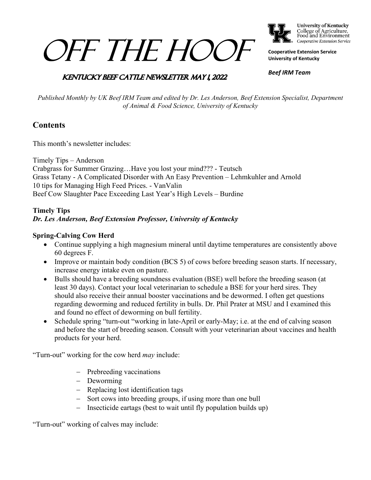# OFF THE HOOF



College of Agriculture,<br>Food and Environment Cooperative Extension Service

**Cooperative Extension Service University of Kentucky**

## **KENTUCKY BEEF CATTLE NEWSLETTER MAY 1 2022**

*Beef IRM Team*

*Published Monthly by UK Beef IRM Team and edited by Dr. Les Anderson, Beef Extension Specialist, Department of Animal & Food Science, University of Kentucky*

## **Contents**

This month's newsletter includes:

Timely Tips – Anderson Crabgrass for Summer Grazing…Have you lost your mind??? - Teutsch Grass Tetany - A Complicated Disorder with An Easy Prevention – Lehmkuhler and Arnold 10 tips for Managing High Feed Prices. - VanValin Beef Cow Slaughter Pace Exceeding Last Year's High Levels – Burdine

#### **Timely Tips** *Dr. Les Anderson, Beef Extension Professor, University of Kentucky*

#### **Spring-Calving Cow Herd**

- Continue supplying a high magnesium mineral until daytime temperatures are consistently above 60 degrees F.
- Improve or maintain body condition (BCS 5) of cows before breeding season starts. If necessary, increase energy intake even on pasture.
- Bulls should have a breeding soundness evaluation (BSE) well before the breeding season (at least 30 days). Contact your local veterinarian to schedule a BSE for your herd sires. They should also receive their annual booster vaccinations and be dewormed. I often get questions regarding deworming and reduced fertility in bulls. Dr. Phil Prater at MSU and I examined this and found no effect of deworming on bull fertility.
- Schedule spring "turn-out "working in late-April or early-May; i.e. at the end of calving season and before the start of breeding season. Consult with your veterinarian about vaccines and health products for your herd.

"Turn-out" working for the cow herd *may* include:

- − Prebreeding vaccinations
- − Deworming
- − Replacing lost identification tags
- − Sort cows into breeding groups, if using more than one bull
- − Insecticide eartags (best to wait until fly population builds up)

"Turn-out" working of calves may include: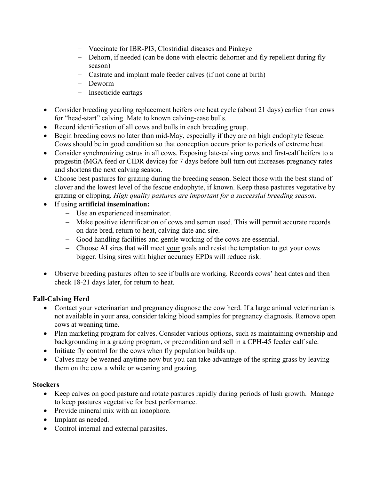- − Vaccinate for IBR-PI3, Clostridial diseases and Pinkeye
- − Dehorn, if needed (can be done with electric dehorner and fly repellent during fly season)
- − Castrate and implant male feeder calves (if not done at birth)
- − Deworm
- − Insecticide eartags
- Consider breeding yearling replacement heifers one heat cycle (about 21 days) earlier than cows for "head-start" calving. Mate to known calving-ease bulls.
- Record identification of all cows and bulls in each breeding group.
- Begin breeding cows no later than mid-May, especially if they are on high endophyte fescue. Cows should be in good condition so that conception occurs prior to periods of extreme heat.
- Consider synchronizing estrus in all cows. Exposing late-calving cows and first-calf heifers to a progestin (MGA feed or CIDR device) for 7 days before bull turn out increases pregnancy rates and shortens the next calving season.
- Choose best pastures for grazing during the breeding season. Select those with the best stand of clover and the lowest level of the fescue endophyte, if known. Keep these pastures vegetative by grazing or clipping. *High quality pastures are important for a successful breeding season.*
- If using **artificial insemination:**
	- − Use an experienced inseminator.
	- − Make positive identification of cows and semen used. This will permit accurate records on date bred, return to heat, calving date and sire.
	- − Good handling facilities and gentle working of the cows are essential.
	- − Choose AI sires that will meet your goals and resist the temptation to get your cows bigger. Using sires with higher accuracy EPDs will reduce risk.
- Observe breeding pastures often to see if bulls are working. Records cows' heat dates and then check 18-21 days later, for return to heat.

#### **Fall-Calving Herd**

- Contact your veterinarian and pregnancy diagnose the cow herd. If a large animal veterinarian is not available in your area, consider taking blood samples for pregnancy diagnosis. Remove open cows at weaning time.
- Plan marketing program for calves. Consider various options, such as maintaining ownership and backgrounding in a grazing program, or precondition and sell in a CPH-45 feeder calf sale.
- Initiate fly control for the cows when fly population builds up.
- Calves may be weaned anytime now but you can take advantage of the spring grass by leaving them on the cow a while or weaning and grazing.

#### **Stockers**

- Keep calves on good pasture and rotate pastures rapidly during periods of lush growth. Manage to keep pastures vegetative for best performance.
- Provide mineral mix with an ionophore.
- Implant as needed.
- Control internal and external parasites.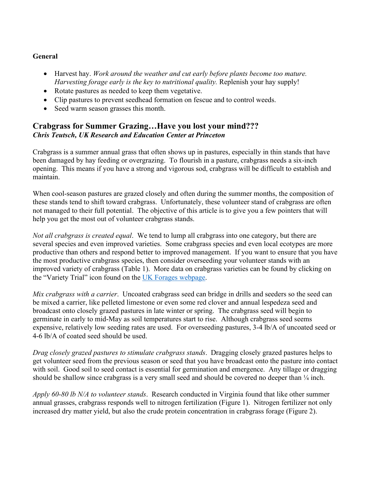#### **General**

- Harvest hay. *Work around the weather and cut early before plants become too mature. Harvesting forage early is the key to nutritional quality.* Replenish your hay supply!
- Rotate pastures as needed to keep them vegetative.
- Clip pastures to prevent seedhead formation on fescue and to control weeds.
- Seed warm season grasses this month.

## **Crabgrass for Summer Grazing…Have you lost your mind???** *Chris Teutsch, UK Research and Education Center at Princeton*

Crabgrass is a summer annual grass that often shows up in pastures, especially in thin stands that have been damaged by hay feeding or overgrazing. To flourish in a pasture, crabgrass needs a six-inch opening. This means if you have a strong and vigorous sod, crabgrass will be difficult to establish and maintain.

When cool-season pastures are grazed closely and often during the summer months, the composition of these stands tend to shift toward crabgrass. Unfortunately, these volunteer stand of crabgrass are often not managed to their full potential. The objective of this article is to give you a few pointers that will help you get the most out of volunteer crabgrass stands.

*Not all crabgrass is created equal*. We tend to lump all crabgrass into one category, but there are several species and even improved varieties. Some crabgrass species and even local ecotypes are more productive than others and respond better to improved management. If you want to ensure that you have the most productive crabgrass species, then consider overseeding your volunteer stands with an improved variety of crabgrass (Table 1). More data on crabgrass varieties can be found by clicking on the "Variety Trial" icon found on the [UK Forages webpage.](https://forages.ca.uky.edu/)

*Mix crabgrass with a carrier*. Uncoated crabgrass seed can bridge in drills and seeders so the seed can be mixed a carrier, like pelleted limestone or even some red clover and annual lespedeza seed and broadcast onto closely grazed pastures in late winter or spring. The crabgrass seed will begin to germinate in early to mid-May as soil temperatures start to rise. Although crabgrass seed seems expensive, relatively low seeding rates are used. For overseeding pastures, 3-4 lb/A of uncoated seed or 4-6 lb/A of coated seed should be used.

*Drag closely grazed pastures to stimulate crabgrass stands*. Dragging closely grazed pastures helps to get volunteer seed from the previous season or seed that you have broadcast onto the pasture into contact with soil. Good soil to seed contact is essential for germination and emergence. Any tillage or dragging should be shallow since crabgrass is a very small seed and should be covered no deeper than  $\frac{1}{4}$  inch.

*Apply 60-80 lb N/A to volunteer stands*. Research conducted in Virginia found that like other summer annual grasses, crabgrass responds well to nitrogen fertilization (Figure 1). Nitrogen fertilizer not only increased dry matter yield, but also the crude protein concentration in crabgrass forage (Figure 2).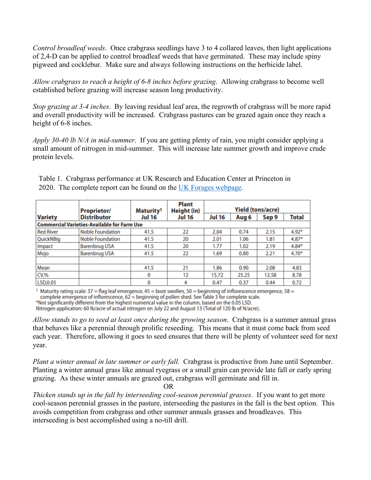*Control broadleaf weeds*. Once crabgrass seedlings have 3 to 4 collared leaves, then light applications of 2,4-D can be applied to control broadleaf weeds that have germinated. These may include spiny pigweed and cocklebur. Make sure and always following instructions on the herbicide label.

*Allow crabgrass to reach a height of 6-8 inches before grazing*. Allowing crabgrass to become well established before grazing will increase season long productivity.

*Stop grazing at 3-4 inches*. By leaving residual leaf area, the regrowth of crabgrass will be more rapid and overall productivity will be increased. Crabgrass pastures can be grazed again once they reach a height of 6-8 inches.

*Apply 30-40 lb N/A in mid-summer*. If you are getting plenty of rain, you might consider applying a small amount of nitrogen in mid-summer. This will increase late summer growth and improve crude protein levels.

|                                                    | <b>Proprietor/</b>      | Maturity <sup>1</sup><br>Jul 16 | <b>Plant</b><br>Height (in)<br>Jul 16 | <b>Yield (tons/acre)</b> |       |       |              |
|----------------------------------------------------|-------------------------|---------------------------------|---------------------------------------|--------------------------|-------|-------|--------------|
| <b>Variety</b>                                     | <b>Distributor</b>      |                                 |                                       | <b>Jul 16</b>            | Aug 6 | Sep 9 | <b>Total</b> |
| <b>Commercial Varieties-Available for Farm Use</b> |                         |                                 |                                       |                          |       |       |              |
| <b>Red River</b>                                   | <b>Noble Foundation</b> | 41.5                            | 22                                    | 2.04                     | 0.74  | 2.15  | $4.92*$      |
| QuickNBig                                          | <b>Noble Foundation</b> | 41.5                            | 20                                    | 2.01                     | 1.06  | 1.81  | $4.87*$      |
| Impact                                             | <b>Barenbrug USA</b>    | 41.5                            | 20                                    | 1.77                     | 1.02  | 2.19  | $4.84*$      |
| Mojo                                               | <b>Barenbrug USA</b>    | 41.5                            | 22                                    | 1.69                     | 0.80  | 2.21  | $4.70*$      |
|                                                    |                         |                                 |                                       |                          |       |       |              |
| Mean                                               |                         | 41.5                            | 21                                    | 1.86                     | 0.90  | 2.08  | 4.83         |
| CV, %                                              |                         | 0                               | 12                                    | 15.72                    | 25.25 | 12.58 | 8.78         |
| LSD,0.05                                           |                         | 0                               | 4                                     | 0.47                     | 0.37  | 0.44  | 0.72         |

Table 1. Crabgrass performance at UK Research and Education Center at Princeton in 2020. The complete report can be found on the [UK Forages webpage.](http://www2.ca.uky.edu/agcomm/pubs/PR/PR791/PR791.pdf)

<sup>1</sup> Maturity rating scale:  $37$  = flag leaf emergence,  $45$  = boot swollen,  $50$  = beginning of inflorescence emergence,  $58$  = complete emergence of inflorescence, 62 = beginning of pollen shed. See Table 3 for complete scale.

\*Not significantly different from the highest numerical value in the column, based on the 0.05 LSD.

Nitrogen application: 60 lb/acre of actual nitrogen on July 22 and August 13 (Total of 120 lb of N/acre).

*Allow stands to go to seed at least once during the growing season*. Crabgrass is a summer annual grass that behaves like a perennial through prolific reseeding. This means that it must come back from seed each year. Therefore, allowing it goes to seed ensures that there will be plenty of volunteer seed for next year.

*Plant a winter annual in late summer or early fall*. Crabgrass is productive from June until September. Planting a winter annual grass like annual ryegrass or a small grain can provide late fall or early spring grazing. As these winter annuals are grazed out, crabgrass will germinate and fill in.

OR

*Thicken stands up in the fall by interseeding cool-season perennial grasses*. If you want to get more cool-season perennial grasses in the pasture, interseeding the pastures in the fall is the best option. This avoids competition from crabgrass and other summer annuals grasses and broadleaves. This interseeding is best accomplished using a no-till drill.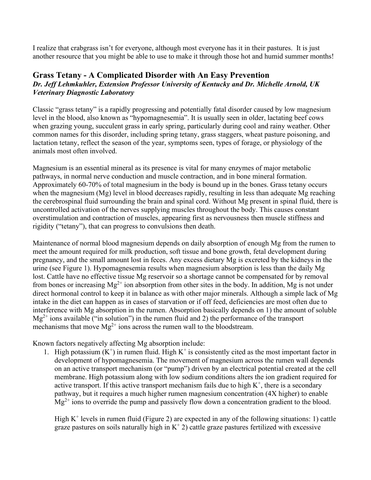I realize that crabgrass isn't for everyone, although most everyone has it in their pastures. It is just another resource that you might be able to use to make it through those hot and humid summer months!

#### **Grass Tetany - A Complicated Disorder with An Easy Prevention** *Dr. Jeff Lehmkuhler, Extension Professor University of Kentucky and Dr. Michelle Arnold, UK Veterinary Diagnostic Laboratory*

Classic "grass tetany" is a rapidly progressing and potentially fatal disorder caused by low magnesium level in the blood, also known as "hypomagnesemia". It is usually seen in older, lactating beef cows when grazing young, succulent grass in early spring, particularly during cool and rainy weather. Other common names for this disorder, including spring tetany, grass staggers, wheat pasture poisoning, and lactation tetany, reflect the season of the year, symptoms seen, types of forage, or physiology of the animals most often involved.

Magnesium is an essential mineral as its presence is vital for many enzymes of major metabolic pathways, in normal nerve conduction and muscle contraction, and in bone mineral formation. Approximately 60-70% of total magnesium in the body is bound up in the bones. Grass tetany occurs when the magnesium (Mg) level in blood decreases rapidly, resulting in less than adequate Mg reaching the cerebrospinal fluid surrounding the brain and spinal cord. Without Mg present in spinal fluid, there is uncontrolled activation of the nerves supplying muscles throughout the body. This causes constant overstimulation and contraction of muscles, appearing first as nervousness then muscle stiffness and rigidity ("tetany"), that can progress to convulsions then death.

Maintenance of normal blood magnesium depends on daily absorption of enough Mg from the rumen to meet the amount required for milk production, soft tissue and bone growth, fetal development during pregnancy, and the small amount lost in feces. Any excess dietary Mg is excreted by the kidneys in the urine (see Figure 1). Hypomagnesemia results when magnesium absorption is less than the daily Mg lost. Cattle have no effective tissue Mg reservoir so a shortage cannot be compensated for by removal from bones or increasing  $Mg^{2+}$  ion absorption from other sites in the body. In addition, Mg is not under direct hormonal control to keep it in balance as with other major minerals. Although a simple lack of Mg intake in the diet can happen as in cases of starvation or if off feed, deficiencies are most often due to interference with Mg absorption in the rumen. Absorption basically depends on 1) the amount of soluble  $Mg^{2+}$  ions available ("in solution") in the rumen fluid and 2) the performance of the transport mechanisms that move  $Mg^{2+}$  ions across the rumen wall to the bloodstream.

Known factors negatively affecting Mg absorption include:

1. High potassium  $(K^+)$  in rumen fluid. High  $K^+$  is consistently cited as the most important factor in development of hypomagnesemia. The movement of magnesium across the rumen wall depends on an active transport mechanism (or "pump") driven by an electrical potential created at the cell membrane. High potassium along with low sodium conditions alters the ion gradient required for active transport. If this active transport mechanism fails due to high  $K^+$ , there is a secondary pathway, but it requires a much higher rumen magnesium concentration (4X higher) to enable  $Mg^{2+}$  ions to override the pump and passively flow down a concentration gradient to the blood.

High  $K^+$  levels in rumen fluid (Figure 2) are expected in any of the following situations: 1) cattle graze pastures on soils naturally high in  $K^+$  2) cattle graze pastures fertilized with excessive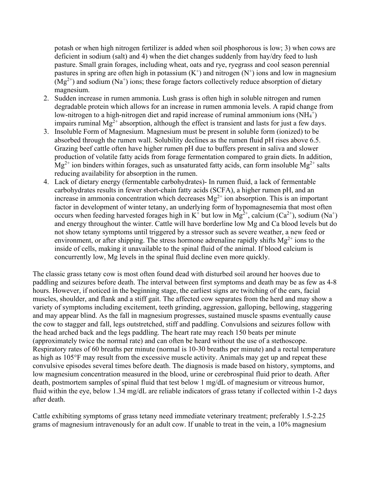potash or when high nitrogen fertilizer is added when soil phosphorous is low; 3) when cows are deficient in sodium (salt) and 4) when the diet changes suddenly from hay/dry feed to lush pasture. Small grain forages, including wheat, oats and rye, ryegrass and cool season perennial pastures in spring are often high in potassium  $(K^+)$  and nitrogen  $(N^+)$  ions and low in magnesium  $(Mg^{2+})$  and sodium (Na<sup>+</sup>) ions; these forage factors collectively reduce absorption of dietary magnesium.

- 2. Sudden increase in rumen ammonia. Lush grass is often high in soluble nitrogen and rumen degradable protein which allows for an increase in rumen ammonia levels. A rapid change from low-nitrogen to a high-nitrogen diet and rapid increase of ruminal ammonium ions  $(NH_4^+)$ impairs ruminal  $Mg^{2+}$  absorption, although the effect is transient and lasts for just a few days.
- 3. Insoluble Form of Magnesium. Magnesium must be present in soluble form (ionized) to be absorbed through the rumen wall. Solubility declines as the rumen fluid pH rises above 6.5. Grazing beef cattle often have higher rumen pH due to buffers present in saliva and slower production of volatile fatty acids from forage fermentation compared to grain diets. In addition,  $Mg^{2+}$  ion binders within forages, such as unsaturated fatty acids, can form insoluble  $Mg^{2+}$  salts reducing availability for absorption in the rumen.
- 4. Lack of dietary energy (fermentable carbohydrates)- In rumen fluid, a lack of fermentable carbohydrates results in fewer short-chain fatty acids (SCFA), a higher rumen pH, and an increase in ammonia concentration which decreases  $Mg^{2+}$  ion absorption. This is an important factor in development of winter tetany, an underlying form of hypomagnesemia that most often occurs when feeding harvested forages high in K<sup>+</sup> but low in Mg<sup>2+</sup>, calcium (Ca<sup>2+</sup>), sodium (Na<sup>+</sup>) and energy throughout the winter. Cattle will have borderline low Mg and Ca blood levels but do not show tetany symptoms until triggered by a stressor such as severe weather, a new feed or environment, or after shipping. The stress hormone adrenaline rapidly shifts  $Mg^{2+}$  ions to the inside of cells, making it unavailable to the spinal fluid of the animal. If blood calcium is concurrently low, Mg levels in the spinal fluid decline even more quickly.

The classic grass tetany cow is most often found dead with disturbed soil around her hooves due to paddling and seizures before death. The interval between first symptoms and death may be as few as 4-8 hours. However, if noticed in the beginning stage, the earliest signs are twitching of the ears, facial muscles, shoulder, and flank and a stiff gait. The affected cow separates from the herd and may show a variety of symptoms including excitement, teeth grinding, aggression, galloping, bellowing, staggering and may appear blind. As the fall in magnesium progresses, sustained muscle spasms eventually cause the cow to stagger and fall, legs outstretched, stiff and paddling. Convulsions and seizures follow with the head arched back and the legs paddling. The heart rate may reach 150 beats per minute (approximately twice the normal rate) and can often be heard without the use of a stethoscope. Respiratory rates of 60 breaths per minute (normal is 10-30 breaths per minute) and a rectal temperature as high as 105°F may result from the excessive muscle activity. Animals may get up and repeat these convulsive episodes several times before death. The diagnosis is made based on history, symptoms, and low magnesium concentration measured in the blood, urine or cerebrospinal fluid prior to death. After death, postmortem samples of spinal fluid that test below 1 mg/dL of magnesium or vitreous humor, fluid within the eye, below 1.34 mg/dL are reliable indicators of grass tetany if collected within 1-2 days after death.

Cattle exhibiting symptoms of grass tetany need immediate veterinary treatment; preferably 1.5-2.25 grams of magnesium intravenously for an adult cow. If unable to treat in the vein, a 10% magnesium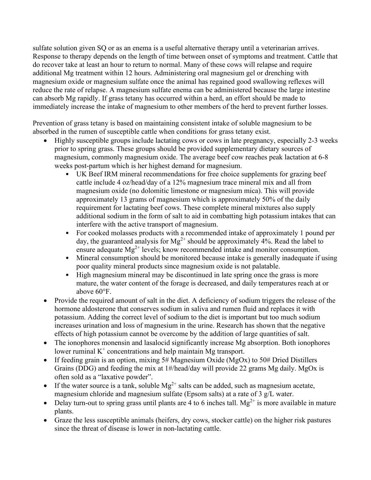sulfate solution given SQ or as an enema is a useful alternative therapy until a veterinarian arrives. Response to therapy depends on the length of time between onset of symptoms and treatment. Cattle that do recover take at least an hour to return to normal. Many of these cows will relapse and require additional Mg treatment within 12 hours. Administering oral magnesium gel or drenching with magnesium oxide or magnesium sulfate once the animal has regained good swallowing reflexes will reduce the rate of relapse. A magnesium sulfate enema can be administered because the large intestine can absorb Mg rapidly. If grass tetany has occurred within a herd, an effort should be made to immediately increase the intake of magnesium to other members of the herd to prevent further losses.

Prevention of grass tetany is based on maintaining consistent intake of soluble magnesium to be absorbed in the rumen of susceptible cattle when conditions for grass tetany exist.

- Highly susceptible groups include lactating cows or cows in late pregnancy, especially 2-3 weeks prior to spring grass. These groups should be provided supplementary dietary sources of magnesium, commonly magnesium oxide. The average beef cow reaches peak lactation at 6-8 weeks post-partum which is her highest demand for magnesium.
	- UK Beef IRM mineral recommendations for free choice supplements for grazing beef cattle include 4 oz/head/day of a 12% magnesium trace mineral mix and all from magnesium oxide (no dolomitic limestone or magnesium mica). This will provide approximately 13 grams of magnesium which is approximately 50% of the daily requirement for lactating beef cows. These complete mineral mixtures also supply additional sodium in the form of salt to aid in combatting high potassium intakes that can interfere with the active transport of magnesium.
	- For cooked molasses products with a recommended intake of approximately 1 pound per day, the guaranteed analysis for  $Mg^{2+}$  should be approximately 4%. Read the label to ensure adequate  $Mg^{2+}$  levels; know recommended intake and monitor consumption.
	- Mineral consumption should be monitored because intake is generally inadequate if using poor quality mineral products since magnesium oxide is not palatable.
	- High magnesium mineral may be discontinued in late spring once the grass is more mature, the water content of the forage is decreased, and daily temperatures reach at or above 60°F.
- Provide the required amount of salt in the diet. A deficiency of sodium triggers the release of the hormone aldosterone that conserves sodium in saliva and rumen fluid and replaces it with potassium. Adding the correct level of sodium to the diet is important but too much sodium increases urination and loss of magnesium in the urine. Research has shown that the negative effects of high potassium cannot be overcome by the addition of large quantities of salt.
- The ionophores monensin and lasalocid significantly increase Mg absorption. Both ionophores lower ruminal  $K^+$  concentrations and help maintain Mg transport.
- If feeding grain is an option, mixing 5# Magnesium Oxide (MgOx) to 50# Dried Distillers Grains (DDG) and feeding the mix at 1#/head/day will provide 22 grams Mg daily. MgOx is often sold as a "laxative powder".
- If the water source is a tank, soluble  $Mg^{2+}$  salts can be added, such as magnesium acetate, magnesium chloride and magnesium sulfate (Epsom salts) at a rate of 3 g/L water.
- Delay turn-out to spring grass until plants are 4 to 6 inches tall.  $Mg^{2+}$  is more available in mature plants.
- Graze the less susceptible animals (heifers, dry cows, stocker cattle) on the higher risk pastures since the threat of disease is lower in non-lactating cattle.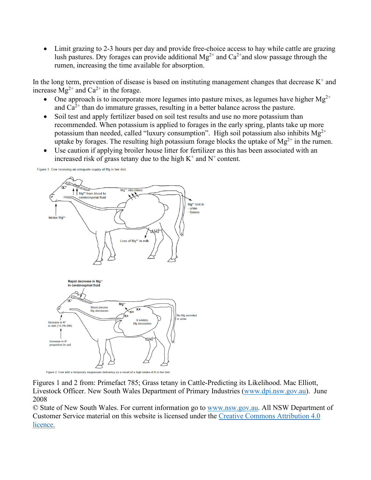• Limit grazing to 2-3 hours per day and provide free-choice access to hay while cattle are grazing lush pastures. Dry forages can provide additional  $Mg^{2+}$  and  $Ca^{2+}$  and slow passage through the rumen, increasing the time available for absorption.

In the long term, prevention of disease is based on instituting management changes that decrease  $K^+$  and increase  $\overline{M}g^{2+}$  and  $Ca^{2+}$  in the forage.

- One approach is to incorporate more legumes into pasture mixes, as legumes have higher  $Mg^{2+}$ and  $Ca^{2+}$  than do immature grasses, resulting in a better balance across the pasture.
- Soil test and apply fertilizer based on soil test results and use no more potassium than recommended. When potassium is applied to forages in the early spring, plants take up more potassium than needed, called "luxury consumption". High soil potassium also inhibits  $Mg^{2+}$ uptake by forages. The resulting high potassium forage blocks the uptake of  $Mg^{2+}$  in the rumen.
- Use caution if applying broiler house litter for fertilizer as this has been associated with an increased risk of grass tetany due to the high  $K^+$  and  $N^+$  content.

Figure 1. Cow receiving an adequate supply of Mg in her diet.



Figure 2. Cow with a temporary magnesium deficiency as a result of a high intake of K in her diet

Figures 1 and 2 from: Primefact 785; Grass tetany in Cattle-Predicting its Likelihood. Mac Elliott, Livestock Officer. New South Wales Department of Primary Industries [\(www.dpi.nsw.gov.au\)](http://www.dpi.nsw.gov.au/). June 2008

© State of New South Wales. For current information go to [www.nsw.gov.au.](https://www.nsw.gov.au/) All NSW Department of Customer Service material on this website is licensed under the [Creative Commons Attribution 4.0](https://creativecommons.org/licenses/by/4.0/)  [licence.](https://creativecommons.org/licenses/by/4.0/)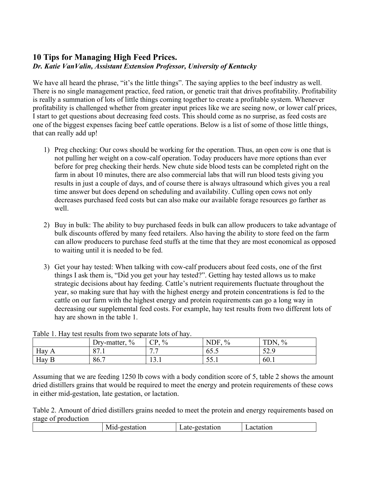## **10 Tips for Managing High Feed Prices.** *Dr. Katie VanValin, Assistant Extension Professor, University of Kentucky*

We have all heard the phrase, "it's the little things". The saying applies to the beef industry as well. There is no single management practice, feed ration, or genetic trait that drives profitability. Profitability is really a summation of lots of little things coming together to create a profitable system. Whenever profitability is challenged whether from greater input prices like we are seeing now, or lower calf prices, I start to get questions about decreasing feed costs. This should come as no surprise, as feed costs are one of the biggest expenses facing beef cattle operations. Below is a list of some of those little things, that can really add up!

- 1) Preg checking: Our cows should be working for the operation. Thus, an open cow is one that is not pulling her weight on a cow-calf operation. Today producers have more options than ever before for preg checking their herds. New chute side blood tests can be completed right on the farm in about 10 minutes, there are also commercial labs that will run blood tests giving you results in just a couple of days, and of course there is always ultrasound which gives you a real time answer but does depend on scheduling and availability. Culling open cows not only decreases purchased feed costs but can also make our available forage resources go farther as well.
- 2) Buy in bulk: The ability to buy purchased feeds in bulk can allow producers to take advantage of bulk discounts offered by many feed retailers. Also having the ability to store feed on the farm can allow producers to purchase feed stuffs at the time that they are most economical as opposed to waiting until it is needed to be fed.
- 3) Get your hay tested: When talking with cow-calf producers about feed costs, one of the first things I ask them is, "Did you get your hay tested?". Getting hay tested allows us to make strategic decisions about hay feeding. Cattle's nutrient requirements fluctuate throughout the year, so making sure that hay with the highest energy and protein concentrations is fed to the cattle on our farm with the highest energy and protein requirements can go a long way in decreasing our supplemental feed costs. For example, hay test results from two different lots of hay are shown in the table 1.

| Table 1. Hay lest results from two separate folls of hay. |                              |                           |                       |                                        |  |
|-----------------------------------------------------------|------------------------------|---------------------------|-----------------------|----------------------------------------|--|
|                                                           | $\frac{0}{0}$<br>Dry-matter, | $\frac{0}{0}$<br>$\cap$ P | NDF.<br>$\frac{0}{0}$ | TDN<br>$\frac{0}{0}$                   |  |
| Hay                                                       | O <sub>7</sub><br>0/1        | <i>. .</i><br>.           | 00.0                  | $\epsilon$ $\alpha$<br>$J\mathcal{L}.$ |  |
| Hay B                                                     | 86.7                         | 13.1                      | ه رس                  | 60.1                                   |  |

Table 1. Hay test results from two separate lots of hay.

Assuming that we are feeding 1250 lb cows with a body condition score of 5, table 2 shows the amount dried distillers grains that would be required to meet the energy and protein requirements of these cows in either mid-gestation, late gestation, or lactation.

Table 2. Amount of dried distillers grains needed to meet the protein and energy requirements based on stage of production

| ЭL<br>. | ion<br>ם דמ<br>- 7d.L | иι<br>ິ |
|---------|-----------------------|---------|
|         |                       |         |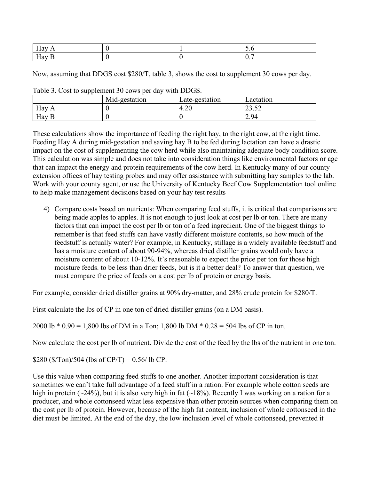| $\sim$ $\sim$<br>പി റ⊀്<br>$\mathbf{1}$<br>. . |  | $\sim \cdot \circ$ |
|------------------------------------------------|--|--------------------|
| тт<br>$\cdots$                                 |  | $\mathbf{U}$       |

Now, assuming that DDGS cost \$280/T, table 3, shows the cost to supplement 30 cows per day.

|                       | Mid-gestation | Late-gestation | _actation                                     |
|-----------------------|---------------|----------------|-----------------------------------------------|
| Hay<br>$\overline{A}$ |               | 4.∠∪           | $\epsilon$<br>ے بہ ب                          |
| Hay B                 |               |                | $Q_4$<br>$\mathcal{L}$ . $\mathcal{I}^{\ast}$ |

Table 3. Cost to supplement 30 cows per day with DDGS.

These calculations show the importance of feeding the right hay, to the right cow, at the right time. Feeding Hay A during mid-gestation and saving hay B to be fed during lactation can have a drastic impact on the cost of supplementing the cow herd while also maintaining adequate body condition score. This calculation was simple and does not take into consideration things like environmental factors or age that can impact the energy and protein requirements of the cow herd. In Kentucky many of our county extension offices of hay testing probes and may offer assistance with submitting hay samples to the lab. Work with your county agent, or use the University of Kentucky Beef Cow Supplementation tool online to help make management decisions based on your hay test results

4) Compare costs based on nutrients: When comparing feed stuffs, it is critical that comparisons are being made apples to apples. It is not enough to just look at cost per lb or ton. There are many factors that can impact the cost per lb or ton of a feed ingredient. One of the biggest things to remember is that feed stuffs can have vastly different moisture contents, so how much of the feedstuff is actually water? For example, in Kentucky, stillage is a widely available feedstuff and has a moisture content of about 90-94%, whereas dried distiller grains would only have a moisture content of about 10-12%. It's reasonable to expect the price per ton for those high moisture feeds. to be less than drier feeds, but is it a better deal? To answer that question, we must compare the price of feeds on a cost per lb of protein or energy basis.

For example, consider dried distiller grains at 90% dry-matter, and 28% crude protein for \$280/T.

First calculate the lbs of CP in one ton of dried distiller grains (on a DM basis).

2000 lb \* 0.90 = 1,800 lbs of DM in a Ton; 1,800 lb DM \* 0.28 = 504 lbs of CP in ton.

Now calculate the cost per lb of nutrient. Divide the cost of the feed by the lbs of the nutrient in one ton.

\$280 (\$/Ton)/504 (lbs of CP/T) =  $0.56$ / lb CP.

Use this value when comparing feed stuffs to one another. Another important consideration is that sometimes we can't take full advantage of a feed stuff in a ration. For example whole cotton seeds are high in protein ( $\sim$ 24%), but it is also very high in fat ( $\sim$ 18%). Recently I was working on a ration for a producer, and whole cottonseed what less expensive than other protein sources when comparing them on the cost per lb of protein. However, because of the high fat content, inclusion of whole cottonseed in the diet must be limited. At the end of the day, the low inclusion level of whole cottonseed, prevented it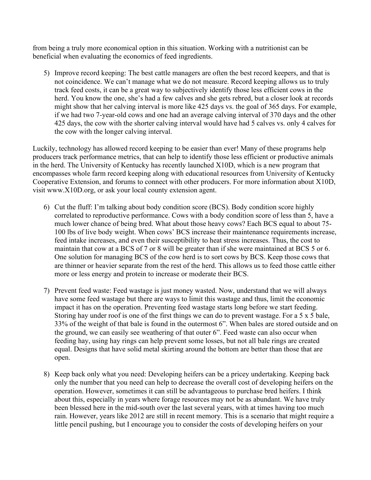from being a truly more economical option in this situation. Working with a nutritionist can be beneficial when evaluating the economics of feed ingredients.

5) Improve record keeping: The best cattle managers are often the best record keepers, and that is not coincidence. We can't manage what we do not measure. Record keeping allows us to truly track feed costs, it can be a great way to subjectively identify those less efficient cows in the herd. You know the one, she's had a few calves and she gets rebred, but a closer look at records might show that her calving interval is more like 425 days vs. the goal of 365 days. For example, if we had two 7-year-old cows and one had an average calving interval of 370 days and the other 425 days, the cow with the shorter calving interval would have had 5 calves vs. only 4 calves for the cow with the longer calving interval.

Luckily, technology has allowed record keeping to be easier than ever! Many of these programs help producers track performance metrics, that can help to identify those less efficient or productive animals in the herd. The University of Kentucky has recently launched X10D, which is a new program that encompasses whole farm record keeping along with educational resources from University of Kentucky Cooperative Extension, and forums to connect with other producers. For more information about X10D, visit www.X10D.org, or ask your local county extension agent.

- 6) Cut the fluff: I'm talking about body condition score (BCS). Body condition score highly correlated to reproductive performance. Cows with a body condition score of less than 5, have a much lower chance of being bred. What about those heavy cows? Each BCS equal to about 75- 100 lbs of live body weight. When cows' BCS increase their maintenance requirements increase, feed intake increases, and even their susceptibility to heat stress increases. Thus, the cost to maintain that cow at a BCS of 7 or 8 will be greater than if she were maintained at BCS 5 or 6. One solution for managing BCS of the cow herd is to sort cows by BCS. Keep those cows that are thinner or heavier separate from the rest of the herd. This allows us to feed those cattle either more or less energy and protein to increase or moderate their BCS.
- 7) Prevent feed waste: Feed wastage is just money wasted. Now, understand that we will always have some feed wastage but there are ways to limit this wastage and thus, limit the economic impact it has on the operation. Preventing feed wastage starts long before we start feeding. Storing hay under roof is one of the first things we can do to prevent wastage. For a 5 x 5 bale, 33% of the weight of that bale is found in the outermost 6". When bales are stored outside and on the ground, we can easily see weathering of that outer 6". Feed waste can also occur when feeding hay, using hay rings can help prevent some losses, but not all bale rings are created equal. Designs that have solid metal skirting around the bottom are better than those that are open.
- 8) Keep back only what you need: Developing heifers can be a pricey undertaking. Keeping back only the number that you need can help to decrease the overall cost of developing heifers on the operation. However, sometimes it can still be advantageous to purchase bred heifers. I think about this, especially in years where forage resources may not be as abundant. We have truly been blessed here in the mid-south over the last several years, with at times having too much rain. However, years like 2012 are still in recent memory. This is a scenario that might require a little pencil pushing, but I encourage you to consider the costs of developing heifers on your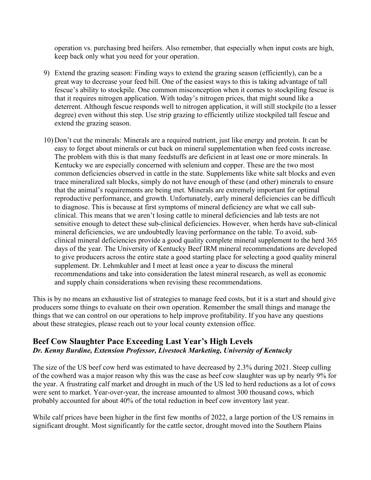operation vs. purchasing bred heifers. Also remember, that especially when input costs are high, keep back only what you need for your operation.

- 9) Extend the grazing season: Finding ways to extend the grazing season (efficiently), can be a great way to decrease your feed bill. One of the easiest ways to this is taking advantage of tall fescue's ability to stockpile. One common misconception when it comes to stockpiling fescue is that it requires nitrogen application. With today's nitrogen prices, that might sound like a deterrent. Although fescue responds well to nitrogen application, it will still stockpile (to a lesser degree) even without this step. Use strip grazing to efficiently utilize stockpiled tall fescue and extend the grazing season.
- 10) Don't cut the minerals: Minerals are a required nutrient, just like energy and protein. It can be easy to forget about minerals or cut back on mineral supplementation when feed costs increase. The problem with this is that many feedstuffs are deficient in at least one or more minerals. In Kentucky we are especially concerned with selenium and copper. These are the two most common deficiencies observed in cattle in the state. Supplements like white salt blocks and even trace mineralized salt blocks, simply do not have enough of these (and other) minerals to ensure that the animal's requirements are being met. Minerals are extremely important for optimal reproductive performance, and growth. Unfortunately, early mineral deficiencies can be difficult to diagnose. This is because at first symptoms of mineral deficiency are what we call subclinical. This means that we aren't losing cattle to mineral deficiencies and lab tests are not sensitive enough to detect these sub-clinical deficiencies. However, when herds have sub-clinical mineral deficiencies, we are undoubtedly leaving performance on the table. To avoid, subclinical mineral deficiencies provide a good quality complete mineral supplement to the herd 365 days of the year. The University of Kentucky Beef IRM mineral recommendations are developed to give producers across the entire state a good starting place for selecting a good quality mineral supplement. Dr. Lehmkuhler and I meet at least once a year to discuss the mineral recommendations and take into consideration the latest mineral research, as well as economic and supply chain considerations when revising these recommendations.

This is by no means an exhaustive list of strategies to manage feed costs, but it is a start and should give producers some things to evaluate on their own operation. Remember the small things and manage the things that we can control on our operations to help improve profitability. If you have any questions about these strategies, please reach out to your local county extension office.

#### **Beef Cow Slaughter Pace Exceeding Last Year's High Levels** *Dr. Kenny Burdine, Extension Professor, Livestock Marketing, University of Kentucky*

The size of the US beef cow herd was estimated to have decreased by 2.3% during 2021. Steep culling of the cowherd was a major reason why this was the case as beef cow slaughter was up by nearly 9% for the year. A frustrating calf market and drought in much of the US led to herd reductions as a lot of cows were sent to market. Year-over-year, the increase amounted to almost 300 thousand cows, which probably accounted for about 40% of the total reduction in beef cow inventory last year.

While calf prices have been higher in the first few months of 2022, a large portion of the US remains in significant drought. Most significantly for the cattle sector, drought moved into the Southern Plains